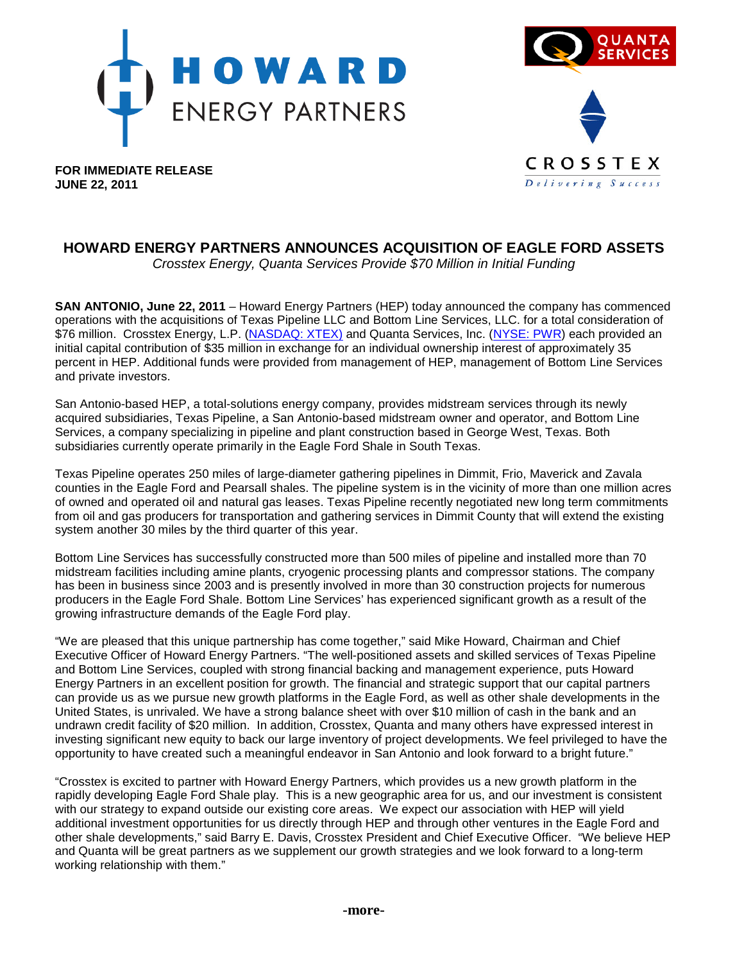



**FOR IMMEDIATE RELEASE JUNE 22, 2011**

# **HOWARD ENERGY PARTNERS ANNOUNCES ACQUISITION OF EAGLE FORD ASSETS**

*Crosstex Energy, Quanta Services Provide \$70 Million in Initial Funding*

**SAN ANTONIO, June 22, 2011** – Howard Energy Partners (HEP) today announced the company has commenced operations with the acquisitions of Texas Pipeline LLC and Bottom Line Services, LLC. for a total consideration of \$76 million. Crosstex Energy, L.P. [\(NASDAQ:](http://www.nasdaq.com/asp/SummaryQuote.asp?symbol=XTEX&selected=XTEX) XTEX) and Quanta Services, Inc. [\(NYSE:](http://www.nyse.com/about/listed/lcddata.html?ticker=PWR) PWR) each provided an initial capital contribution of \$35 million in exchange for an individual ownership interest of approximately 35 percent in HEP. Additional funds were provided from management of HEP, management of Bottom Line Services and private investors.

San Antonio-based HEP, a total-solutions energy company, provides midstream services through its newly acquired subsidiaries, Texas Pipeline, a San Antonio-based midstream owner and operator, and Bottom Line Services, a company specializing in pipeline and plant construction based in George West, Texas. Both subsidiaries currently operate primarily in the Eagle Ford Shale in South Texas.

Texas Pipeline operates 250 miles of large-diameter gathering pipelines in Dimmit, Frio, Maverick and Zavala counties in the Eagle Ford and Pearsall shales. The pipeline system is in the vicinity of more than one million acres of owned and operated oil and natural gas leases. Texas Pipeline recently negotiated new long term commitments from oil and gas producers for transportation and gathering services in Dimmit County that will extend the existing system another 30 miles by the third quarter of this year.

Bottom Line Services has successfully constructed more than 500 miles of pipeline and installed more than 70 midstream facilities including amine plants, cryogenic processing plants and compressor stations. The company has been in business since 2003 and is presently involved in more than 30 construction projects for numerous producers in the Eagle Ford Shale. Bottom Line Services' has experienced significant growth as a result of the growing infrastructure demands of the Eagle Ford play.

"We are pleased that this unique partnership has come together," said Mike Howard, Chairman and Chief Executive Officer of Howard Energy Partners. "The well-positioned assets and skilled services of Texas Pipeline and Bottom Line Services, coupled with strong financial backing and management experience, puts Howard Energy Partners in an excellent position for growth. The financial and strategic support that our capital partners can provide us as we pursue new growth platforms in the Eagle Ford, as well as other shale developments in the United States, is unrivaled. We have a strong balance sheet with over \$10 million of cash in the bank and an undrawn credit facility of \$20 million. In addition, Crosstex, Quanta and many others have expressed interest in investing significant new equity to back our large inventory of project developments. We feel privileged to have the opportunity to have created such a meaningful endeavor in San Antonio and look forward to a bright future."

"Crosstex is excited to partner with Howard Energy Partners, which provides us a new growth platform in the rapidly developing Eagle Ford Shale play. This is a new geographic area for us, and our investment is consistent with our strategy to expand outside our existing core areas. We expect our association with HEP will yield additional investment opportunities for us directly through HEP and through other ventures in the Eagle Ford and other shale developments," said Barry E. Davis, Crosstex President and Chief Executive Officer. "We believe HEP and Quanta will be great partners as we supplement our growth strategies and we look forward to a long-term working relationship with them."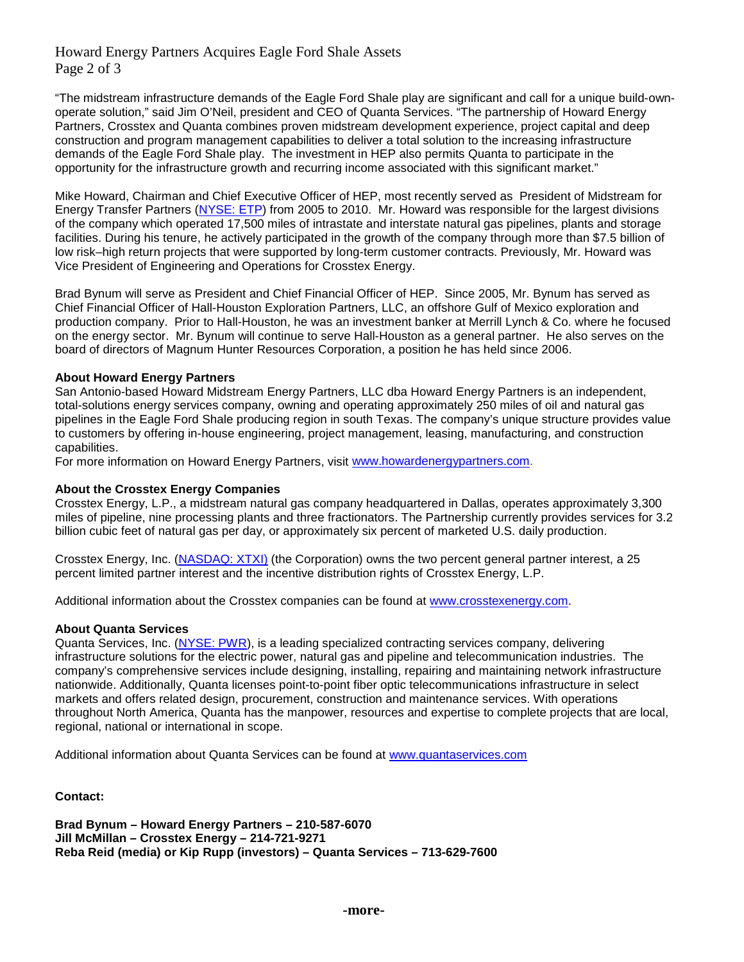## Howard Energy Partners Acquires Eagle Ford Shale Assets Page 2 of 3

"The midstream infrastructure demands of the Eagle Ford Shale play are significant and call for a unique build-ownoperate solution," said Jim O'Neil, president and CEO of Quanta Services. "The partnership of Howard Energy Partners, Crosstex and Quanta combines proven midstream development experience, project capital and deep construction and program management capabilities to deliver a total solution to the increasing infrastructure demands of the Eagle Ford Shale play. The investment in HEP also permits Quanta to participate in the opportunity for the infrastructure growth and recurring income associated with this significant market."

Mike Howard, Chairman and Chief Executive Officer of HEP, most recently served as President of Midstream for Energy Transfer Partners [\(NYSE:](http://www.nyse.com/about/listed/lcddata.html?ticker=ETP) ETP) from 2005 to 2010. Mr. Howard was responsible for the largest divisions of the company which operated 17,500 miles of intrastate and interstate natural gas pipelines, plants and storage facilities. During his tenure, he actively participated in the growth of the company through more than \$7.5 billion of low risk–high return projects that were supported by long-term customer contracts. Previously, Mr. Howard was Vice President of Engineering and Operations for Crosstex Energy.

Brad Bynum will serve as President and Chief Financial Officer of HEP. Since 2005, Mr. Bynum has served as Chief Financial Officer of Hall-Houston Exploration Partners, LLC, an offshore Gulf of Mexico exploration and production company. Prior to Hall-Houston, he was an investment banker at Merrill Lynch & Co. where he focused on the energy sector. Mr. Bynum will continue to serve Hall-Houston as a general partner. He also serves on the board of directors of Magnum Hunter Resources Corporation, a position he has held since 2006.

### **About Howard Energy Partners**

San Antonio-based Howard Midstream Energy Partners, LLC dba Howard Energy Partners is an independent, total-solutions energy services company, owning and operating approximately 250 miles of oil and natural gas pipelines in the Eagle Ford Shale producing region in south Texas. The company's unique structure provides value to customers by offering in-house engineering, project management, leasing, manufacturing, and construction capabilities.

For more information on Howard Energy Partners, visit [www.howardenergypartners.com.](http://www.howardenergypartners.com/)

#### **About the Crosstex Energy Companies**

Crosstex Energy, L.P., a midstream natural gas company headquartered in Dallas, operates approximately 3,300 miles of pipeline, nine processing plants and three fractionators. The Partnership currently provides services for 3.2 billion cubic feet of natural gas per day, or approximately six percent of marketed U.S. daily production.

Crosstex Energy, Inc. [\(NASDAQ:](http://www.nasdaq.com/asp/SummaryQuote.asp?symbol=XTxi&selected=XTxi) XTXI) (the Corporation) owns the two percent general partner interest, a 25 percent limited partner interest and the incentive distribution rights of Crosstex Energy, L.P.

Additional information about the Crosstex companies can be found at [www.crosstexenergy.com.](http://www.crosstexenergy.com/)

#### **About Quanta Services**

Quanta Services, Inc. [\(NYSE:](http://www.nyse.com/about/listed/lcddata.html?ticker=PWR) PWR), is a leading specialized contracting services company, delivering infrastructure solutions for the electric power, natural gas and pipeline and telecommunication industries. The company's comprehensive services include designing, installing, repairing and maintaining network infrastructure nationwide. Additionally, Quanta licenses point-to-point fiber optic telecommunications infrastructure in select markets and offers related design, procurement, construction and maintenance services. With operations throughout North America, Quanta has the manpower, resources and expertise to complete projects that are local, regional, national or international in scope.

Additional information about Quanta Services can be found at [www.quantaservices.com](http://www.quantaservices.com/)

## **Contact:**

**Brad Bynum – Howard Energy Partners – 210-587-6070 Jill McMillan – Crosstex Energy – 214-721-9271 Reba Reid (media) or Kip Rupp (investors) – Quanta Services – 713-629-7600**